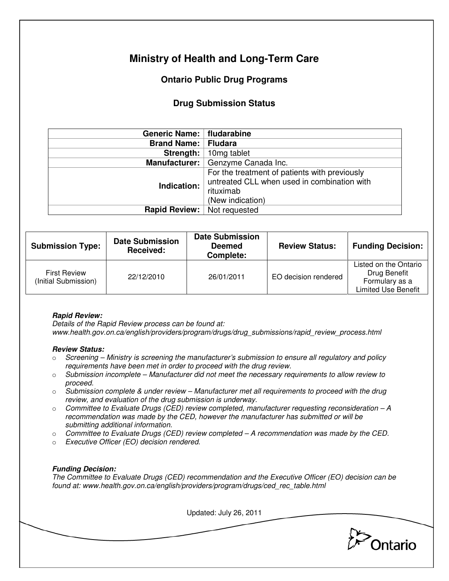# **Ministry of Health and Long-Term Care**

# **Ontario Public Drug Programs**

## **Drug Submission Status**

| Generic Name:   fludarabine        |                                                                                                                               |  |
|------------------------------------|-------------------------------------------------------------------------------------------------------------------------------|--|
| <b>Brand Name: Fludara</b>         |                                                                                                                               |  |
| Strength:                          | 10 <sub>mg tablet</sub>                                                                                                       |  |
|                                    | Manufacturer:   Genzyme Canada Inc.                                                                                           |  |
| Indication:                        | For the treatment of patients with previously<br>untreated CLL when used in combination with<br>rituximab<br>(New indication) |  |
| <b>Rapid Review:</b> Not requested |                                                                                                                               |  |

| <b>Submission Type:</b>                     | <b>Date Submission</b><br>Received: | <b>Date Submission</b><br><b>Deemed</b><br>Complete: | <b>Review Status:</b> | <b>Funding Decision:</b>                                                              |
|---------------------------------------------|-------------------------------------|------------------------------------------------------|-----------------------|---------------------------------------------------------------------------------------|
| <b>First Review</b><br>(Initial Submission) | 22/12/2010                          | 26/01/2011                                           | EO decision rendered  | Listed on the Ontario<br>Drug Benefit<br>Formulary as a<br><b>Limited Use Benefit</b> |

### **Rapid Review:**

Details of the Rapid Review process can be found at: www.health.gov.on.ca/english/providers/program/drugs/drug\_submissions/rapid\_review\_process.html

### **Review Status:**

- $\circ$  Screening Ministry is screening the manufacturer's submission to ensure all regulatory and policy requirements have been met in order to proceed with the drug review.
- $\circ$  Submission incomplete Manufacturer did not meet the necessary requirements to allow review to proceed.
- $\circ$  Submission complete & under review Manufacturer met all requirements to proceed with the drug review, and evaluation of the drug submission is underway.
- $\circ$  Committee to Evaluate Drugs (CED) review completed, manufacturer requesting reconsideration  $-A$ recommendation was made by the CED, however the manufacturer has submitted or will be submitting additional information.
- $\circ$  Committee to Evaluate Drugs (CED) review completed  $-A$  recommendation was made by the CED.
- o Executive Officer (EO) decision rendered.

### **Funding Decision:**

The Committee to Evaluate Drugs (CED) recommendation and the Executive Officer (EO) decision can be found at: www.health.gov.on.ca/english/providers/program/drugs/ced\_rec\_table.html

Updated: July 26, 2011